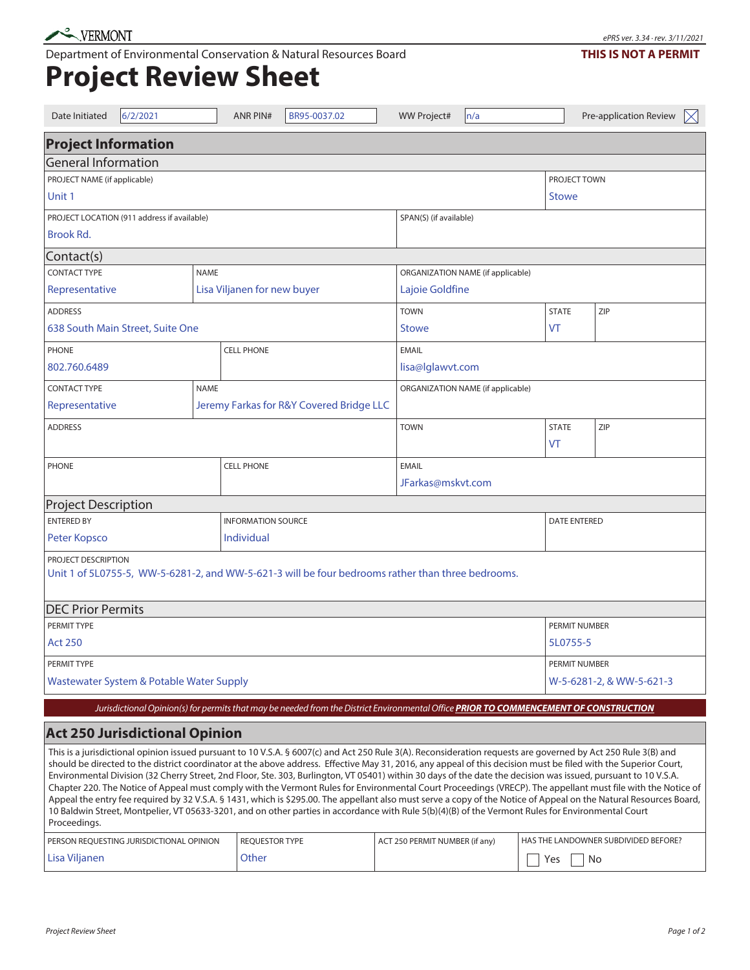Department of Environmental Conservation & Natural Resources Board

## **Project Review Sheet**

| Date Initiated                                                                                                                                                                                                                                                                                                                                                                                                                                                                                                                                                                                                                                                                                                                                                                                                                                                                                                                                                                                                 | 6/2/2021                                                                                                                              |                             | <b>ANR PIN#</b>           | BR95-0037.02                      |                                | <b>WW Project#</b>                | n/a                                  |           |               | Pre-application Review | $\boxtimes$ |  |
|----------------------------------------------------------------------------------------------------------------------------------------------------------------------------------------------------------------------------------------------------------------------------------------------------------------------------------------------------------------------------------------------------------------------------------------------------------------------------------------------------------------------------------------------------------------------------------------------------------------------------------------------------------------------------------------------------------------------------------------------------------------------------------------------------------------------------------------------------------------------------------------------------------------------------------------------------------------------------------------------------------------|---------------------------------------------------------------------------------------------------------------------------------------|-----------------------------|---------------------------|-----------------------------------|--------------------------------|-----------------------------------|--------------------------------------|-----------|---------------|------------------------|-------------|--|
| <b>Project Information</b>                                                                                                                                                                                                                                                                                                                                                                                                                                                                                                                                                                                                                                                                                                                                                                                                                                                                                                                                                                                     |                                                                                                                                       |                             |                           |                                   |                                |                                   |                                      |           |               |                        |             |  |
| <b>General Information</b>                                                                                                                                                                                                                                                                                                                                                                                                                                                                                                                                                                                                                                                                                                                                                                                                                                                                                                                                                                                     |                                                                                                                                       |                             |                           |                                   |                                |                                   |                                      |           |               |                        |             |  |
| PROJECT NAME (if applicable)                                                                                                                                                                                                                                                                                                                                                                                                                                                                                                                                                                                                                                                                                                                                                                                                                                                                                                                                                                                   |                                                                                                                                       |                             |                           |                                   |                                |                                   |                                      |           | PROJECT TOWN  |                        |             |  |
| Unit 1                                                                                                                                                                                                                                                                                                                                                                                                                                                                                                                                                                                                                                                                                                                                                                                                                                                                                                                                                                                                         |                                                                                                                                       |                             |                           |                                   |                                |                                   | <b>Stowe</b>                         |           |               |                        |             |  |
| PROJECT LOCATION (911 address if available)                                                                                                                                                                                                                                                                                                                                                                                                                                                                                                                                                                                                                                                                                                                                                                                                                                                                                                                                                                    |                                                                                                                                       |                             |                           |                                   |                                |                                   | SPAN(S) (if available)               |           |               |                        |             |  |
| Brook Rd.                                                                                                                                                                                                                                                                                                                                                                                                                                                                                                                                                                                                                                                                                                                                                                                                                                                                                                                                                                                                      |                                                                                                                                       |                             |                           |                                   |                                |                                   |                                      |           |               |                        |             |  |
| Contact(s)                                                                                                                                                                                                                                                                                                                                                                                                                                                                                                                                                                                                                                                                                                                                                                                                                                                                                                                                                                                                     |                                                                                                                                       |                             |                           |                                   |                                |                                   |                                      |           |               |                        |             |  |
| <b>CONTACT TYPE</b><br><b>NAME</b>                                                                                                                                                                                                                                                                                                                                                                                                                                                                                                                                                                                                                                                                                                                                                                                                                                                                                                                                                                             |                                                                                                                                       |                             |                           |                                   |                                | ORGANIZATION NAME (if applicable) |                                      |           |               |                        |             |  |
| Representative                                                                                                                                                                                                                                                                                                                                                                                                                                                                                                                                                                                                                                                                                                                                                                                                                                                                                                                                                                                                 |                                                                                                                                       | Lisa Viljanen for new buyer |                           |                                   |                                | Lajoie Goldfine                   |                                      |           |               |                        |             |  |
| <b>ADDRESS</b>                                                                                                                                                                                                                                                                                                                                                                                                                                                                                                                                                                                                                                                                                                                                                                                                                                                                                                                                                                                                 |                                                                                                                                       |                             |                           |                                   |                                | <b>TOWN</b>                       |                                      |           | <b>STATE</b>  | ZIP                    |             |  |
| 638 South Main Street, Suite One                                                                                                                                                                                                                                                                                                                                                                                                                                                                                                                                                                                                                                                                                                                                                                                                                                                                                                                                                                               |                                                                                                                                       |                             |                           |                                   | Stowe                          |                                   |                                      | VT        |               |                        |             |  |
| <b>PHONE</b>                                                                                                                                                                                                                                                                                                                                                                                                                                                                                                                                                                                                                                                                                                                                                                                                                                                                                                                                                                                                   |                                                                                                                                       |                             | <b>CELL PHONE</b>         |                                   |                                | <b>EMAIL</b>                      |                                      |           |               |                        |             |  |
| 802.760.6489                                                                                                                                                                                                                                                                                                                                                                                                                                                                                                                                                                                                                                                                                                                                                                                                                                                                                                                                                                                                   |                                                                                                                                       |                             |                           |                                   |                                | lisa@lglawvt.com                  |                                      |           |               |                        |             |  |
| <b>CONTACT TYPE</b><br><b>NAME</b>                                                                                                                                                                                                                                                                                                                                                                                                                                                                                                                                                                                                                                                                                                                                                                                                                                                                                                                                                                             |                                                                                                                                       |                             |                           | ORGANIZATION NAME (if applicable) |                                |                                   |                                      |           |               |                        |             |  |
| Representative                                                                                                                                                                                                                                                                                                                                                                                                                                                                                                                                                                                                                                                                                                                                                                                                                                                                                                                                                                                                 | Jeremy Farkas for R&Y Covered Bridge LLC                                                                                              |                             |                           |                                   |                                |                                   |                                      |           |               |                        |             |  |
| <b>ADDRESS</b>                                                                                                                                                                                                                                                                                                                                                                                                                                                                                                                                                                                                                                                                                                                                                                                                                                                                                                                                                                                                 |                                                                                                                                       |                             |                           |                                   |                                | <b>TOWN</b>                       |                                      |           | <b>STATE</b>  | ZIP                    |             |  |
|                                                                                                                                                                                                                                                                                                                                                                                                                                                                                                                                                                                                                                                                                                                                                                                                                                                                                                                                                                                                                |                                                                                                                                       |                             |                           |                                   |                                |                                   |                                      |           | VT            |                        |             |  |
| <b>PHONE</b>                                                                                                                                                                                                                                                                                                                                                                                                                                                                                                                                                                                                                                                                                                                                                                                                                                                                                                                                                                                                   |                                                                                                                                       |                             | <b>CELL PHONE</b>         |                                   |                                | <b>EMAIL</b>                      |                                      |           |               |                        |             |  |
|                                                                                                                                                                                                                                                                                                                                                                                                                                                                                                                                                                                                                                                                                                                                                                                                                                                                                                                                                                                                                |                                                                                                                                       |                             |                           |                                   |                                | JFarkas@mskvt.com                 |                                      |           |               |                        |             |  |
| <b>Project Description</b>                                                                                                                                                                                                                                                                                                                                                                                                                                                                                                                                                                                                                                                                                                                                                                                                                                                                                                                                                                                     |                                                                                                                                       |                             |                           |                                   |                                |                                   |                                      |           |               |                        |             |  |
| <b>ENTERED BY</b>                                                                                                                                                                                                                                                                                                                                                                                                                                                                                                                                                                                                                                                                                                                                                                                                                                                                                                                                                                                              |                                                                                                                                       |                             | <b>INFORMATION SOURCE</b> |                                   |                                |                                   | <b>DATE ENTERED</b>                  |           |               |                        |             |  |
| Peter Kopsco                                                                                                                                                                                                                                                                                                                                                                                                                                                                                                                                                                                                                                                                                                                                                                                                                                                                                                                                                                                                   |                                                                                                                                       |                             | Individual                |                                   |                                |                                   |                                      |           |               |                        |             |  |
| PROJECT DESCRIPTION<br>Unit 1 of 5L0755-5, WW-5-6281-2, and WW-5-621-3 will be four bedrooms rather than three bedrooms.                                                                                                                                                                                                                                                                                                                                                                                                                                                                                                                                                                                                                                                                                                                                                                                                                                                                                       |                                                                                                                                       |                             |                           |                                   |                                |                                   |                                      |           |               |                        |             |  |
|                                                                                                                                                                                                                                                                                                                                                                                                                                                                                                                                                                                                                                                                                                                                                                                                                                                                                                                                                                                                                |                                                                                                                                       |                             |                           |                                   |                                |                                   |                                      |           |               |                        |             |  |
| <b>DEC Prior Permits</b>                                                                                                                                                                                                                                                                                                                                                                                                                                                                                                                                                                                                                                                                                                                                                                                                                                                                                                                                                                                       |                                                                                                                                       |                             |                           |                                   |                                |                                   |                                      |           |               |                        |             |  |
| PERMIT TYPE                                                                                                                                                                                                                                                                                                                                                                                                                                                                                                                                                                                                                                                                                                                                                                                                                                                                                                                                                                                                    |                                                                                                                                       |                             |                           |                                   |                                |                                   |                                      |           | PERMIT NUMBER |                        |             |  |
| <b>Act 250</b>                                                                                                                                                                                                                                                                                                                                                                                                                                                                                                                                                                                                                                                                                                                                                                                                                                                                                                                                                                                                 |                                                                                                                                       |                             |                           |                                   |                                | 5L0755-5                          |                                      |           |               |                        |             |  |
| PERMIT TYPE                                                                                                                                                                                                                                                                                                                                                                                                                                                                                                                                                                                                                                                                                                                                                                                                                                                                                                                                                                                                    |                                                                                                                                       |                             |                           |                                   |                                |                                   |                                      |           | PERMIT NUMBER |                        |             |  |
| Wastewater System & Potable Water Supply                                                                                                                                                                                                                                                                                                                                                                                                                                                                                                                                                                                                                                                                                                                                                                                                                                                                                                                                                                       |                                                                                                                                       |                             |                           |                                   |                                | W-5-6281-2, & WW-5-621-3          |                                      |           |               |                        |             |  |
|                                                                                                                                                                                                                                                                                                                                                                                                                                                                                                                                                                                                                                                                                                                                                                                                                                                                                                                                                                                                                | Jurisdictional Opinion(s) for permits that may be needed from the District Environmental Office PRIOR TO COMMENCEMENT OF CONSTRUCTION |                             |                           |                                   |                                |                                   |                                      |           |               |                        |             |  |
| <b>Act 250 Jurisdictional Opinion</b>                                                                                                                                                                                                                                                                                                                                                                                                                                                                                                                                                                                                                                                                                                                                                                                                                                                                                                                                                                          |                                                                                                                                       |                             |                           |                                   |                                |                                   |                                      |           |               |                        |             |  |
| This is a jurisdictional opinion issued pursuant to 10 V.S.A. § 6007(c) and Act 250 Rule 3(A). Reconsideration requests are governed by Act 250 Rule 3(B) and<br>should be directed to the district coordinator at the above address. Effective May 31, 2016, any appeal of this decision must be filed with the Superior Court,<br>Environmental Division (32 Cherry Street, 2nd Floor, Ste. 303, Burlington, VT 05401) within 30 days of the date the decision was issued, pursuant to 10 V.S.A.<br>Chapter 220. The Notice of Appeal must comply with the Vermont Rules for Environmental Court Proceedings (VRECP). The appellant must file with the Notice of<br>Appeal the entry fee required by 32 V.S.A. § 1431, which is \$295.00. The appellant also must serve a copy of the Notice of Appeal on the Natural Resources Board,<br>10 Baldwin Street, Montpelier, VT 05633-3201, and on other parties in accordance with Rule 5(b)(4)(B) of the Vermont Rules for Environmental Court<br>Proceedings. |                                                                                                                                       |                             |                           |                                   |                                |                                   |                                      |           |               |                        |             |  |
| PERSON REQUESTING JURISDICTIONAL OPINION                                                                                                                                                                                                                                                                                                                                                                                                                                                                                                                                                                                                                                                                                                                                                                                                                                                                                                                                                                       |                                                                                                                                       | <b>REQUESTOR TYPE</b>       |                           |                                   | ACT 250 PERMIT NUMBER (if any) |                                   | HAS THE LANDOWNER SUBDIVIDED BEFORE? |           |               |                        |             |  |
| Lisa Viljanen                                                                                                                                                                                                                                                                                                                                                                                                                                                                                                                                                                                                                                                                                                                                                                                                                                                                                                                                                                                                  |                                                                                                                                       |                             | Other                     |                                   |                                |                                   |                                      | No<br>Yes |               |                        |             |  |

## **THIS IS NOT A PERMIT**